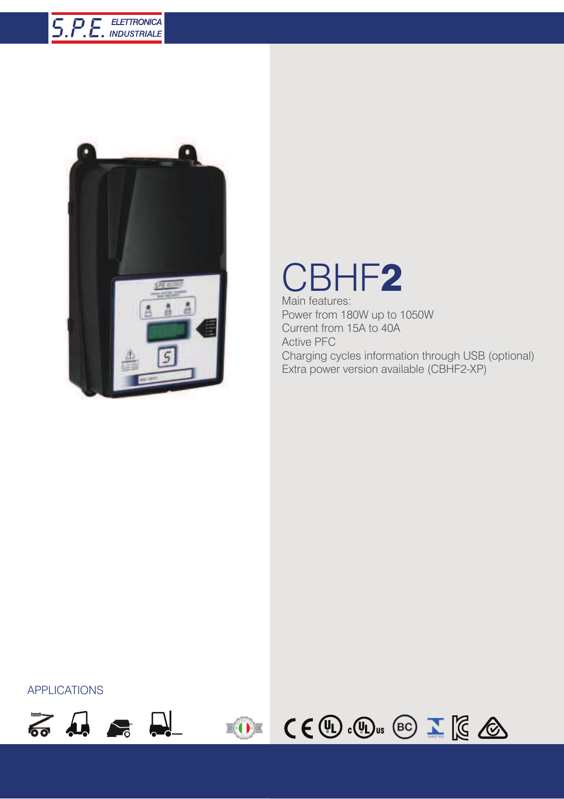## **5.P.E.** ELETTRONICA



## CBHF2

Main features: Power from 180W up to 1050W Current from 15A to 40A Active PFC Charging cycles information through USB (optional) Extra power version available (CBHF2-XP)

APPLICATIONS